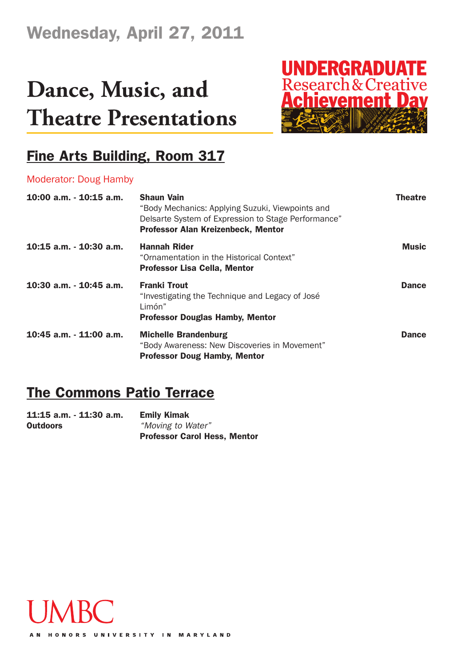## **Dance, Music, and Theatre Presentations**



### **Fine Arts Building, Room 317**

#### Moderator: Doug Hamby

| 10:00 a.m. - 10:15 a.m.    | <b>Shaun Vain</b><br>"Body Mechanics: Applying Suzuki, Viewpoints and<br>Delsarte System of Expression to Stage Performance"<br><b>Professor Alan Kreizenbeck, Mentor</b> | <b>Theatre</b> |
|----------------------------|---------------------------------------------------------------------------------------------------------------------------------------------------------------------------|----------------|
| $10:15$ a.m. $-10:30$ a.m. | <b>Hannah Rider</b><br>"Ornamentation in the Historical Context"<br><b>Professor Lisa Cella, Mentor</b>                                                                   | <b>Music</b>   |
| 10:30 a.m. - 10:45 a.m.    | <b>Franki Trout</b><br>"Investigating the Technique and Legacy of José<br>Limón"<br><b>Professor Douglas Hamby, Mentor</b>                                                | <b>Dance</b>   |
| 10:45 a.m. - 11:00 a.m.    | <b>Michelle Brandenburg</b><br>"Body Awareness: New Discoveries in Movement"<br><b>Professor Doug Hamby, Mentor</b>                                                       | <b>Dance</b>   |

### **The Commons Patio Terrace**

**11:15 a.m. - 11:30 a.m. Emily Kimak Outdoors** *"Moving to Water"* **Professor Carol Hess, Mentor**

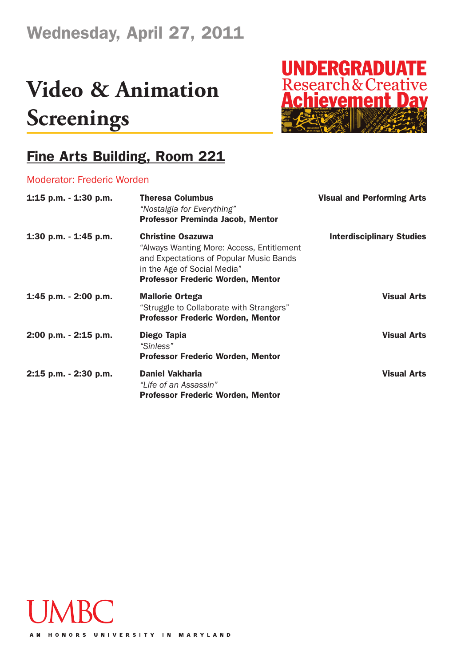## **Video & Animation Screenings**



#### **Fine Arts Building, Room 221**

#### Moderator: Frederic Worden

| 1:15 p.m. $-$ 1:30 p.m.  | <b>Theresa Columbus</b><br>"Nostalgia for Everything"<br><b>Professor Preminda Jacob, Mentor</b>                                                                                            | <b>Visual and Performing Arts</b> |
|--------------------------|---------------------------------------------------------------------------------------------------------------------------------------------------------------------------------------------|-----------------------------------|
| 1:30 p.m. - 1:45 p.m.    | <b>Christine Osazuwa</b><br>"Always Wanting More: Access, Entitlement<br>and Expectations of Popular Music Bands<br>in the Age of Social Media"<br><b>Professor Frederic Worden, Mentor</b> | <b>Interdisciplinary Studies</b>  |
| $1:45$ p.m. $-2:00$ p.m. | <b>Mallorie Ortega</b><br>"Struggle to Collaborate with Strangers"<br><b>Professor Frederic Worden, Mentor</b>                                                                              | <b>Visual Arts</b>                |
| 2:00 p.m. - 2:15 p.m.    | Diego Tapia<br>"Sinless"<br>Professor Frederic Worden, Mentor                                                                                                                               | <b>Visual Arts</b>                |
| $2:15$ p.m. $-2:30$ p.m. | <b>Daniel Vakharia</b><br>"Life of an Assassin"<br><b>Professor Frederic Worden, Mentor</b>                                                                                                 | <b>Visual Arts</b>                |

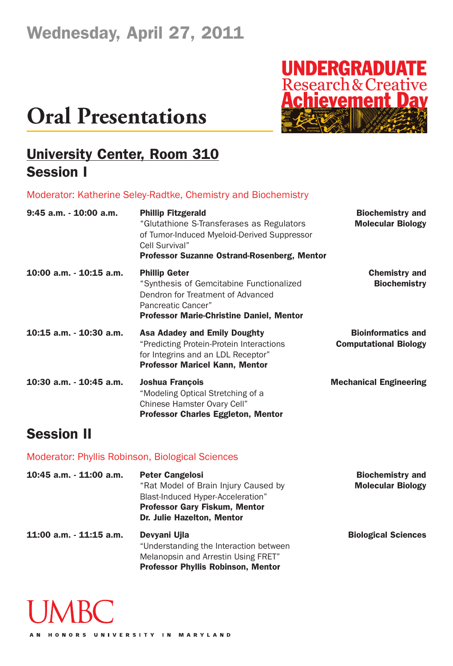

#### **University Center, Room 310 Session I**

#### Moderator: Katherine Seley-Radtke, Chemistry and Biochemistry

| 9:45 a.m. - 10:00 a.m.  | <b>Phillip Fitzgerald</b><br>"Glutathione S-Transferases as Regulators<br>of Tumor-Induced Myeloid-Derived Suppressor<br>Cell Survival"<br><b>Professor Suzanne Ostrand-Rosenberg, Mentor</b> | <b>Biochemistry and</b><br><b>Molecular Biology</b>       |
|-------------------------|-----------------------------------------------------------------------------------------------------------------------------------------------------------------------------------------------|-----------------------------------------------------------|
| 10:00 a.m. - 10:15 a.m. | <b>Phillip Geter</b><br>"Synthesis of Gemcitabine Functionalized<br>Dendron for Treatment of Advanced<br>Pancreatic Cancer"<br><b>Professor Marie-Christine Daniel, Mentor</b>                | <b>Chemistry and</b><br><b>Biochemistry</b>               |
| 10:15 a.m. - 10:30 a.m. | <b>Asa Adadey and Emily Doughty</b><br>"Predicting Protein-Protein Interactions<br>for Integrins and an LDL Receptor"<br><b>Professor Maricel Kann, Mentor</b>                                | <b>Bioinformatics and</b><br><b>Computational Biology</b> |
| 10:30 a.m. - 10:45 a.m. | <b>Joshua François</b><br>"Modeling Optical Stretching of a<br>Chinese Hamster Ovary Cell"<br><b>Professor Charles Eggleton, Mentor</b>                                                       | <b>Mechanical Engineering</b>                             |

#### **Session II**

#### Moderator: Phyllis Robinson, Biological Sciences

| 10:45 a.m. - 11:00 a.m. | <b>Peter Cangelosi</b><br>"Rat Model of Brain Injury Caused by<br>Blast-Induced Hyper-Acceleration"<br><b>Professor Gary Fiskum, Mentor</b><br>Dr. Julie Hazelton, Mentor | <b>Biochemistry and</b><br><b>Molecular Biology</b> |
|-------------------------|---------------------------------------------------------------------------------------------------------------------------------------------------------------------------|-----------------------------------------------------|
| 11:00 a.m. - 11:15 a.m. | Devyani Ujla<br>"Understanding the Interaction between<br>Melanopsin and Arrestin Using FRET"<br><b>Professor Phyllis Robinson, Mentor</b>                                | <b>Biological Sciences</b>                          |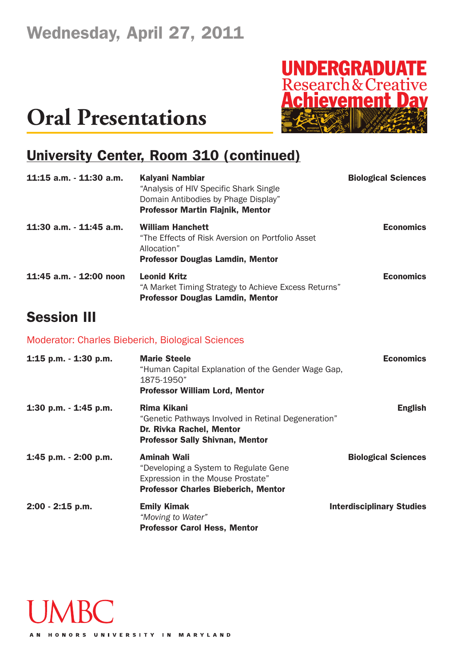

### **University Center, Room 310 (continued)**

| 11:15 a.m. - 11:30 a.m.    | Kalyani Nambiar<br>"Analysis of HIV Specific Shark Single<br>Domain Antibodies by Phage Display"<br><b>Professor Martin Flajnik, Mentor</b> | <b>Biological Sciences</b> |
|----------------------------|---------------------------------------------------------------------------------------------------------------------------------------------|----------------------------|
| $11:30$ a.m. $-11:45$ a.m. | <b>William Hanchett</b><br>"The Effects of Risk Aversion on Portfolio Asset<br>Allocation"<br><b>Professor Douglas Lamdin, Mentor</b>       | <b>Economics</b>           |
| 11:45 a.m. - 12:00 noon    | <b>Leonid Kritz</b><br>"A Market Timing Strategy to Achieve Excess Returns"<br><b>Professor Douglas Lamdin, Mentor</b>                      | <b>Economics</b>           |
| <b>Session III</b>         |                                                                                                                                             |                            |

#### Moderator: Charles Bieberich, Biological Sciences

| 1:15 p.m. $-$ 1:30 p.m. | <b>Marie Steele</b><br>"Human Capital Explanation of the Gender Wage Gap,<br>1875-1950"<br><b>Professor William Lord, Mentor</b>               | <b>Economics</b>                 |
|-------------------------|------------------------------------------------------------------------------------------------------------------------------------------------|----------------------------------|
| 1:30 p.m. - 1:45 p.m.   | Rima Kikani<br>"Genetic Pathways Involved in Retinal Degeneration"<br>Dr. Rivka Rachel, Mentor<br><b>Professor Sally Shivnan, Mentor</b>       | <b>English</b>                   |
| 1:45 p.m. - 2:00 p.m.   | <b>Aminah Wali</b><br>"Developing a System to Regulate Gene<br>Expression in the Mouse Prostate"<br><b>Professor Charles Bieberich, Mentor</b> | <b>Biological Sciences</b>       |
| $2:00 - 2:15$ p.m.      | <b>Emily Kimak</b><br>"Moving to Water"<br><b>Professor Carol Hess, Mentor</b>                                                                 | <b>Interdisciplinary Studies</b> |

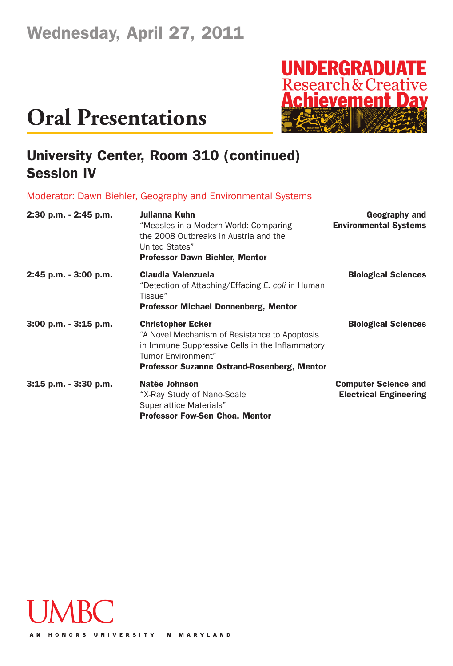

### **University Center, Room 310 (continued) Session IV**

Moderator: Dawn Biehler, Geography and Environmental Systems

| 2:30 p.m. - 2:45 p.m. | Julianna Kuhn<br>"Measles in a Modern World: Comparing<br>the 2008 Outbreaks in Austria and the<br>United States"<br><b>Professor Dawn Biehler, Mentor</b>                                               | Geography and<br><b>Environmental Systems</b>                |
|-----------------------|----------------------------------------------------------------------------------------------------------------------------------------------------------------------------------------------------------|--------------------------------------------------------------|
| 2:45 p.m. - 3:00 p.m. | <b>Claudia Valenzuela</b><br>"Detection of Attaching/Effacing E. coli in Human<br>Tissue"<br><b>Professor Michael Donnenberg, Mentor</b>                                                                 | <b>Biological Sciences</b>                                   |
| 3:00 p.m. - 3:15 p.m. | <b>Christopher Ecker</b><br>"A Novel Mechanism of Resistance to Apoptosis<br>in Immune Suppressive Cells in the Inflammatory<br>Tumor Environment"<br><b>Professor Suzanne Ostrand-Rosenberg, Mentor</b> | <b>Biological Sciences</b>                                   |
| 3:15 p.m. - 3:30 p.m. | Natée Johnson<br>"X-Ray Study of Nano-Scale<br>Superlattice Materials"<br><b>Professor Fow-Sen Choa, Mentor</b>                                                                                          | <b>Computer Science and</b><br><b>Electrical Engineering</b> |

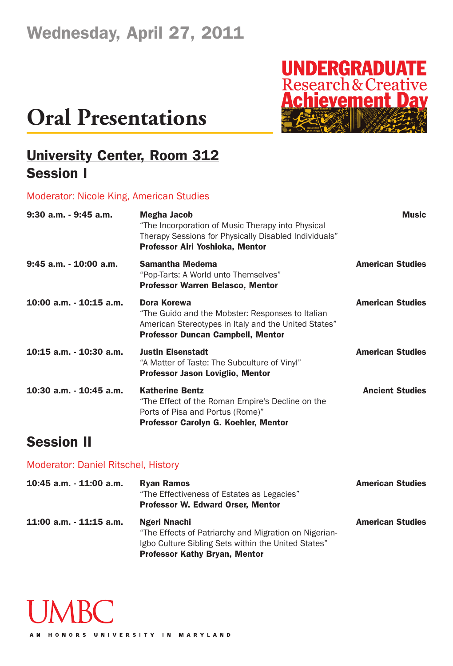# **UNDERGRADUATE**<br>Research & Creative<br>**Achievement Day**

## **Oral Presentations**

### **University Center, Room 312 Session I**

#### Moderator: Nicole King, American Studies

| 9:30 a.m. - 9:45 a.m.     | <b>Megha Jacob</b><br>"The Incorporation of Music Therapy into Physical<br>Therapy Sessions for Physically Disabled Individuals"<br>Professor Airi Yoshioka, Mentor | <b>Music</b>            |
|---------------------------|---------------------------------------------------------------------------------------------------------------------------------------------------------------------|-------------------------|
| $9:45$ a.m. $-10:00$ a.m. | <b>Samantha Medema</b><br>"Pop-Tarts: A World unto Themselves"<br><b>Professor Warren Belasco, Mentor</b>                                                           | <b>American Studies</b> |
| 10:00 a.m. - 10:15 a.m.   | Dora Korewa<br>"The Guido and the Mobster: Responses to Italian<br>American Stereotypes in Italy and the United States"<br><b>Professor Duncan Campbell, Mentor</b> | <b>American Studies</b> |
| 10:15 a.m. - 10:30 a.m.   | <b>Justin Eisenstadt</b><br>"A Matter of Taste: The Subculture of Vinyl"<br><b>Professor Jason Loviglio, Mentor</b>                                                 | <b>American Studies</b> |
| 10:30 a.m. - 10:45 a.m.   | <b>Katherine Bentz</b><br>"The Effect of the Roman Empire's Decline on the<br>Ports of Pisa and Portus (Rome)"<br>Professor Carolyn G. Koehler, Mentor              | <b>Ancient Studies</b>  |

#### **Session II**

#### Moderator: Daniel Ritschel, History

| 10:45 a.m. - 11:00 a.m. | <b>Ryan Ramos</b><br>"The Effectiveness of Estates as Legacies"<br>Professor W. Edward Orser, Mentor                                                                 | <b>American Studies</b> |
|-------------------------|----------------------------------------------------------------------------------------------------------------------------------------------------------------------|-------------------------|
| 11:00 a.m. - 11:15 a.m. | Ngeri Nnachi<br>"The Effects of Patriarchy and Migration on Nigerian-<br>Igbo Culture Sibling Sets within the United States"<br><b>Professor Kathy Bryan, Mentor</b> | <b>American Studies</b> |

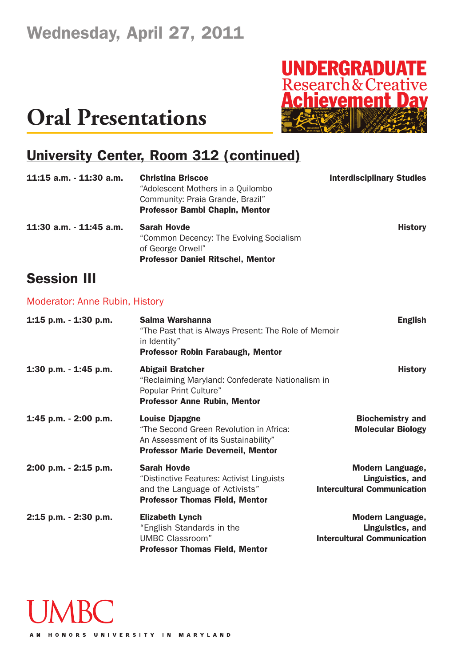

### **University Center, Room 312 (continued)**

| $11:15$ a.m. $-11:30$ a.m.            | <b>Christina Briscoe</b><br>"Adolescent Mothers in a Quilombo<br>Community: Praia Grande, Brazil"<br><b>Professor Bambi Chapin, Mentor</b> | <b>Interdisciplinary Studies</b> |
|---------------------------------------|--------------------------------------------------------------------------------------------------------------------------------------------|----------------------------------|
| $11:30$ a.m. $-11:45$ a.m.            | <b>Sarah Hovde</b><br>"Common Decency: The Evolving Socialism<br>of George Orwell"<br><b>Professor Daniel Ritschel, Mentor</b>             | <b>History</b>                   |
| <b>Session III</b>                    |                                                                                                                                            |                                  |
| <b>Moderator: Anne Rubin, History</b> |                                                                                                                                            |                                  |
| 1:15 p.m. $-$ 1:30 p.m.               | Salma Warshanna<br>"The Past that is Always Present: The Role of Memoir<br>in Identity"<br><b>Professor Robin Farabaugh, Mentor</b>        | <b>English</b>                   |

| 1:30 p.m. - 1:45 p.m. | <b>Abigail Bratcher</b>                          | <b>History</b> |
|-----------------------|--------------------------------------------------|----------------|
|                       | "Reclaiming Maryland: Confederate Nationalism in |                |
|                       | Popular Print Culture"                           |                |
|                       | <b>Professor Anne Rubin, Mentor</b>              |                |

#### **1:45 p.m. - 2:00 p.m. Louise Djapgne Biochemistry and** "The Second Green Revolution in Africa: **Molecular Biology** An Assessment of its Sustainability" **Professor Marie Deverneil, Mentor**

**2:00 p.m. - 2:15 p.m. Sarah Hovde Modern Language,** "Distinctive Features: Activist Linguists **Linguistics, and** and the Language of Activists" **Intercultural Communication Professor Thomas Field, Mentor**

**2:15 p.m. - 2:30 p.m. Elizabeth Lynch Modern Language,** "English Standards in the **Linguistics, and** UMBC Classroom" **Intercultural Communication Professor Thomas Field, Mentor**

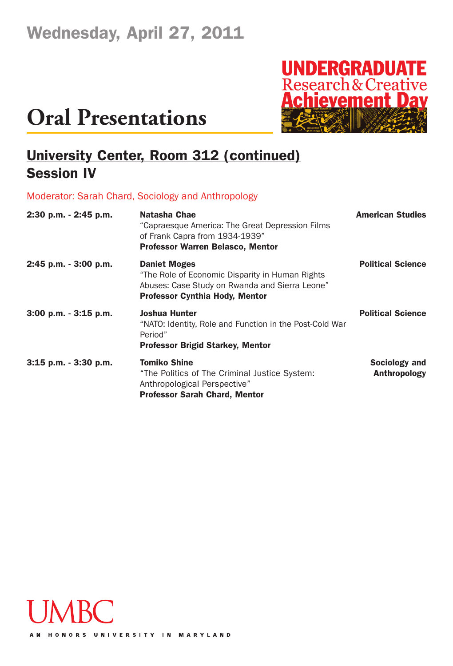

### **University Center, Room 312 (continued) Session IV**

Moderator: Sarah Chard, Sociology and Anthropology

| 2:30 p.m. - 2:45 p.m.    | Natasha Chae<br>"Capraesque America: The Great Depression Films<br>of Frank Capra from 1934-1939"<br><b>Professor Warren Belasco, Mentor</b>                      | <b>American Studies</b>                     |
|--------------------------|-------------------------------------------------------------------------------------------------------------------------------------------------------------------|---------------------------------------------|
| 2:45 p.m. - 3:00 p.m.    | <b>Daniet Moges</b><br>"The Role of Economic Disparity in Human Rights<br>Abuses: Case Study on Rwanda and Sierra Leone"<br><b>Professor Cynthia Hody, Mentor</b> | <b>Political Science</b>                    |
| $3:00$ p.m. $-3:15$ p.m. | <b>Joshua Hunter</b><br>"NATO: Identity, Role and Function in the Post-Cold War<br>Period"<br><b>Professor Brigid Starkey, Mentor</b>                             | <b>Political Science</b>                    |
| $3:15$ p.m. $-3:30$ p.m. | <b>Tomiko Shine</b><br>"The Politics of The Criminal Justice System:<br>Anthropological Perspective"<br><b>Professor Sarah Chard, Mentor</b>                      | <b>Sociology and</b><br><b>Anthropology</b> |

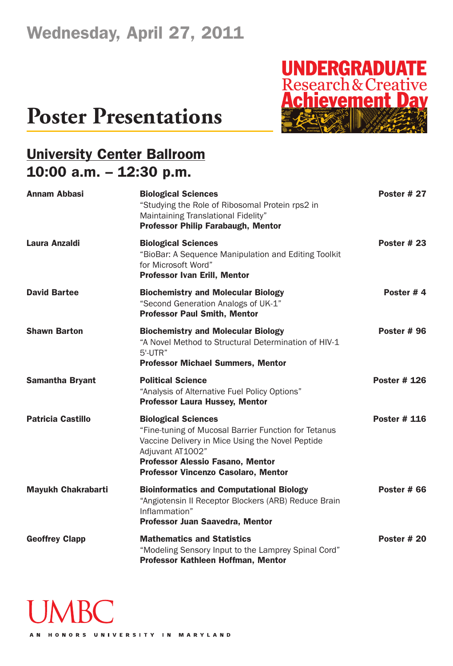### **Poster Presentations**



### **University Center Ballroom 10:00 a.m. – 12:30 p.m.**

| <b>Annam Abbasi</b>       | <b>Biological Sciences</b><br>"Studying the Role of Ribosomal Protein rps2 in<br>Maintaining Translational Fidelity"<br><b>Professor Philip Farabaugh, Mentor</b>                                                                     | <b>Poster # 27</b>  |
|---------------------------|---------------------------------------------------------------------------------------------------------------------------------------------------------------------------------------------------------------------------------------|---------------------|
| Laura Anzaldi             | <b>Biological Sciences</b><br>"BioBar: A Sequence Manipulation and Editing Toolkit<br>for Microsoft Word"<br><b>Professor Ivan Erill, Mentor</b>                                                                                      | Poster $#23$        |
| <b>David Bartee</b>       | <b>Biochemistry and Molecular Biology</b><br>"Second Generation Analogs of UK-1"<br><b>Professor Paul Smith, Mentor</b>                                                                                                               | Poster #4           |
| <b>Shawn Barton</b>       | <b>Biochemistry and Molecular Biology</b><br>"A Novel Method to Structural Determination of HIV-1<br>5'-UTR"<br><b>Professor Michael Summers, Mentor</b>                                                                              | <b>Poster #96</b>   |
| <b>Samantha Bryant</b>    | <b>Political Science</b><br>"Analysis of Alternative Fuel Policy Options"<br><b>Professor Laura Hussey, Mentor</b>                                                                                                                    | <b>Poster # 126</b> |
| <b>Patricia Castillo</b>  | <b>Biological Sciences</b><br>"Fine-tuning of Mucosal Barrier Function for Tetanus<br>Vaccine Delivery in Mice Using the Novel Peptide<br>Adjuvant AT1002"<br>Professor Alessio Fasano, Mentor<br>Professor Vincenzo Casolaro, Mentor | <b>Poster # 116</b> |
| <b>Mayukh Chakrabarti</b> | <b>Bioinformatics and Computational Biology</b><br>"Angiotensin II Receptor Blockers (ARB) Reduce Brain<br>Inflammation"<br>Professor Juan Saavedra, Mentor                                                                           | <b>Poster # 66</b>  |
| <b>Geoffrey Clapp</b>     | <b>Mathematics and Statistics</b><br>"Modeling Sensory Input to the Lamprey Spinal Cord"<br>Professor Kathleen Hoffman, Mentor                                                                                                        | Poster $#20$        |

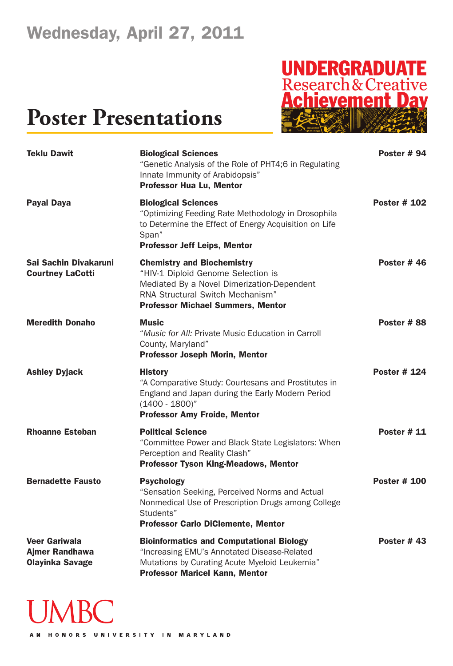# **UNDERGRADUATE**<br>Research & Creative<br>**Achievement Dav**

### **Poster Presentations**

| <b>Teklu Dawit</b>                                                      | <b>Biological Sciences</b><br>"Genetic Analysis of the Role of PHT4;6 in Regulating<br>Innate Immunity of Arabidopsis"<br><b>Professor Hua Lu, Mentor</b>                                             | <b>Poster #94</b>   |
|-------------------------------------------------------------------------|-------------------------------------------------------------------------------------------------------------------------------------------------------------------------------------------------------|---------------------|
| <b>Payal Daya</b>                                                       | <b>Biological Sciences</b><br>"Optimizing Feeding Rate Methodology in Drosophila<br>to Determine the Effect of Energy Acquisition on Life<br>Span"<br><b>Professor Jeff Leips, Mentor</b>             | <b>Poster # 102</b> |
| Sai Sachin Divakaruni<br><b>Courtney LaCotti</b>                        | <b>Chemistry and Biochemistry</b><br>"HIV-1 Diploid Genome Selection is<br>Mediated By a Novel Dimerization-Dependent<br>RNA Structural Switch Mechanism"<br><b>Professor Michael Summers, Mentor</b> | Poster $#46$        |
| <b>Meredith Donaho</b>                                                  | <b>Music</b><br>"Music for All: Private Music Education in Carroll<br>County, Maryland"<br><b>Professor Joseph Morin, Mentor</b>                                                                      | Poster #88          |
| <b>Ashley Dyjack</b>                                                    | <b>History</b><br>"A Comparative Study: Courtesans and Prostitutes in<br>England and Japan during the Early Modern Period<br>$(1400 - 1800)^n$<br><b>Professor Amy Froide, Mentor</b>                 | <b>Poster # 124</b> |
| <b>Rhoanne Esteban</b>                                                  | <b>Political Science</b><br>"Committee Power and Black State Legislators: When<br>Perception and Reality Clash"<br><b>Professor Tyson King-Meadows, Mentor</b>                                        | <b>Poster # 11</b>  |
| <b>Bernadette Fausto</b>                                                | <b>Psychology</b><br>"Sensation Seeking, Perceived Norms and Actual<br>Nonmedical Use of Prescription Drugs among College<br>Students"<br><b>Professor Carlo DiClemente, Mentor</b>                   | <b>Poster # 100</b> |
| <b>Veer Gariwala</b><br><b>Ajmer Randhawa</b><br><b>Olayinka Savage</b> | <b>Bioinformatics and Computational Biology</b><br>"Increasing EMU's Annotated Disease-Related<br>Mutations by Curating Acute Myeloid Leukemia"<br><b>Professor Maricel Kann, Mentor</b>              | <b>Poster #43</b>   |

# **UMBC**

AN HONORS UNIVERSITY IN MARYLAND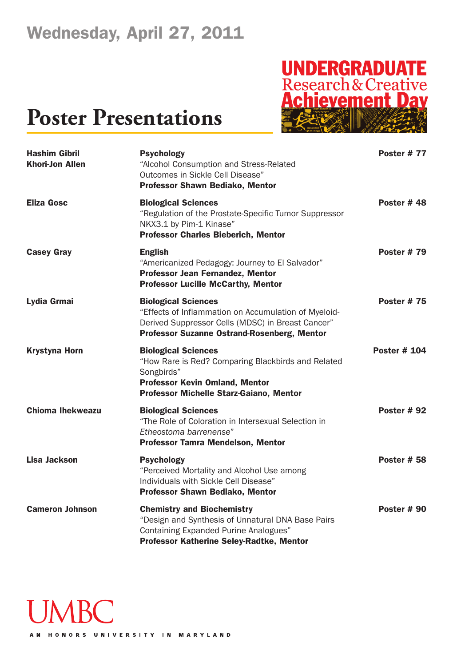# **UNDERGRADUATE**<br>Research & Creative<br>**Achievement Dav**

### **Poster Presentations**

| <b>Hashim Gibril</b><br><b>Khori-Jon Allen</b> | <b>Psychology</b><br>"Alcohol Consumption and Stress-Related<br>Outcomes in Sickle Cell Disease"<br><b>Professor Shawn Bediako, Mentor</b>                                                    | Poster #77          |
|------------------------------------------------|-----------------------------------------------------------------------------------------------------------------------------------------------------------------------------------------------|---------------------|
| <b>Eliza Gosc</b>                              | <b>Biological Sciences</b><br>"Regulation of the Prostate-Specific Tumor Suppressor<br>NKX3.1 by Pim-1 Kinase"<br><b>Professor Charles Bieberich, Mentor</b>                                  | Poster #48          |
| <b>Casey Gray</b>                              | <b>English</b><br>"Americanized Pedagogy: Journey to El Salvador"<br>Professor Jean Fernandez, Mentor<br><b>Professor Lucille McCarthy, Mentor</b>                                            | <b>Poster #79</b>   |
| Lydia Grmai                                    | <b>Biological Sciences</b><br>"Effects of Inflammation on Accumulation of Myeloid-<br>Derived Suppressor Cells (MDSC) in Breast Cancer"<br><b>Professor Suzanne Ostrand-Rosenberg, Mentor</b> | <b>Poster #75</b>   |
| <b>Krystyna Horn</b>                           | <b>Biological Sciences</b><br>"How Rare is Red? Comparing Blackbirds and Related<br>Songbirds"<br><b>Professor Kevin Omland, Mentor</b><br>Professor Michelle Starz-Gaiano, Mentor            | <b>Poster # 104</b> |
| <b>Chioma Ihekweazu</b>                        | <b>Biological Sciences</b><br>"The Role of Coloration in Intersexual Selection in<br>Etheostoma barrenense"<br><b>Professor Tamra Mendelson, Mentor</b>                                       | <b>Poster #92</b>   |
| <b>Lisa Jackson</b>                            | <b>Psychology</b><br>"Perceived Mortality and Alcohol Use among<br>Individuals with Sickle Cell Disease"<br><b>Professor Shawn Bediako, Mentor</b>                                            | <b>Poster # 58</b>  |
| <b>Cameron Johnson</b>                         | <b>Chemistry and Biochemistry</b><br>"Design and Synthesis of Unnatural DNA Base Pairs<br>Containing Expanded Purine Analogues"<br>Professor Katherine Seley-Radtke, Mentor                   | Poster #90          |



AN HONORS UNIVERSITY IN MARYLAND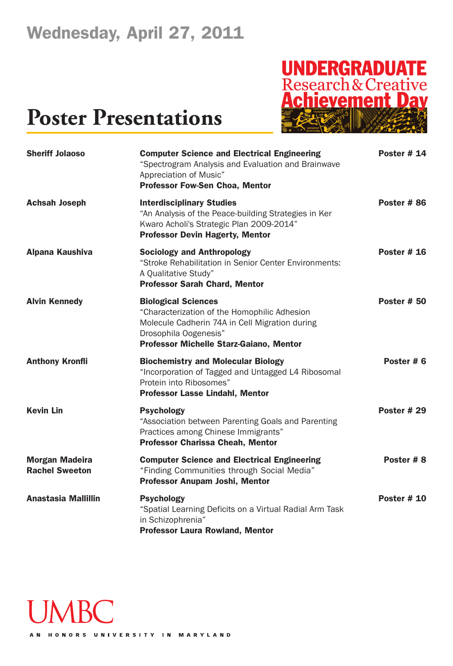# **UNDERGRADUATE**<br>Research & Creative<br>**Achievement Dav**

| <b>Sheriff Jolaoso</b>                         | <b>Computer Science and Electrical Engineering</b><br>"Spectrogram Analysis and Evaluation and Brainwave<br>Appreciation of Music"<br><b>Professor Fow-Sen Choa, Mentor</b>                      | <b>Poster # 14</b> |
|------------------------------------------------|--------------------------------------------------------------------------------------------------------------------------------------------------------------------------------------------------|--------------------|
| <b>Achsah Joseph</b>                           | <b>Interdisciplinary Studies</b><br>"An Analysis of the Peace-building Strategies in Ker<br>Kwaro Acholi's Strategic Plan 2009-2014"<br><b>Professor Devin Hagerty, Mentor</b>                   | Poster #86         |
| Alpana Kaushiva                                | <b>Sociology and Anthropology</b><br>"Stroke Rehabilitation in Senior Center Environments:<br>A Qualitative Study"<br><b>Professor Sarah Chard, Mentor</b>                                       | Poster $# 16$      |
| <b>Alvin Kennedy</b>                           | <b>Biological Sciences</b><br>"Characterization of the Homophilic Adhesion<br>Molecule Cadherin 74A in Cell Migration during<br>Drosophila Oogenesis"<br>Professor Michelle Starz-Gaiano, Mentor | <b>Poster # 50</b> |
| <b>Anthony Kronfli</b>                         | <b>Biochemistry and Molecular Biology</b><br>"Incorporation of Tagged and Untagged L4 Ribosomal<br>Protein into Ribosomes"<br><b>Professor Lasse Lindahl, Mentor</b>                             | Poster #6          |
| <b>Kevin Lin</b>                               | <b>Psychology</b><br>"Association between Parenting Goals and Parenting<br>Practices among Chinese Immigrants"<br><b>Professor Charissa Cheah, Mentor</b>                                        | <b>Poster # 29</b> |
| <b>Morgan Madeira</b><br><b>Rachel Sweeton</b> | <b>Computer Science and Electrical Engineering</b><br>"Finding Communities through Social Media"<br>Professor Anupam Joshi, Mentor                                                               | Poster #8          |
| <b>Anastasia Mallillin</b>                     | <b>Psychology</b><br>"Spatial Learning Deficits on a Virtual Radial Arm Task<br>in Schizophrenia"<br><b>Professor Laura Rowland, Mentor</b>                                                      | <b>Poster # 10</b> |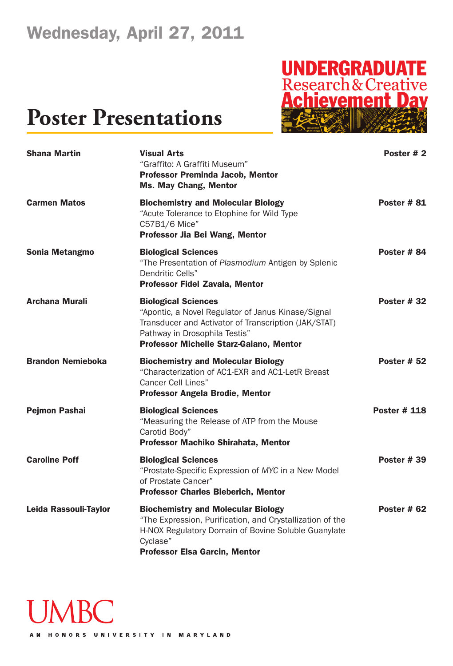### **Poster Presentations**



| <b>Shana Martin</b>      | <b>Visual Arts</b><br>"Graffito: A Graffiti Museum"<br><b>Professor Preminda Jacob, Mentor</b><br><b>Ms. May Chang, Mentor</b>                                                                                              | Poster #2           |
|--------------------------|-----------------------------------------------------------------------------------------------------------------------------------------------------------------------------------------------------------------------------|---------------------|
| <b>Carmen Matos</b>      | <b>Biochemistry and Molecular Biology</b><br>"Acute Tolerance to Etophine for Wild Type<br>C57B1/6 Mice"<br>Professor Jia Bei Wang, Mentor                                                                                  | <b>Poster #81</b>   |
| <b>Sonia Metangmo</b>    | <b>Biological Sciences</b><br>"The Presentation of Plasmodium Antigen by Splenic<br>Dendritic Cells"<br>Professor Fidel Zavala, Mentor                                                                                      | Poster #84          |
| <b>Archana Murali</b>    | <b>Biological Sciences</b><br>"Apontic, a Novel Regulator of Janus Kinase/Signal<br>Transducer and Activator of Transcription (JAK/STAT)<br>Pathway in Drosophila Testis"<br><b>Professor Michelle Starz-Gaiano, Mentor</b> | <b>Poster #32</b>   |
| <b>Brandon Nemieboka</b> | <b>Biochemistry and Molecular Biology</b><br>"Characterization of AC1-EXR and AC1-LetR Breast<br><b>Cancer Cell Lines"</b><br><b>Professor Angela Brodie, Mentor</b>                                                        | <b>Poster # 52</b>  |
| <b>Pejmon Pashai</b>     | <b>Biological Sciences</b><br>"Measuring the Release of ATP from the Mouse<br>Carotid Body"<br>Professor Machiko Shirahata, Mentor                                                                                          | <b>Poster # 118</b> |
| <b>Caroline Poff</b>     | <b>Biological Sciences</b><br>"Prostate-Specific Expression of MYC in a New Model<br>of Prostate Cancer"<br><b>Professor Charles Bieberich, Mentor</b>                                                                      | <b>Poster #39</b>   |
| Leida Rassouli-Taylor    | <b>Biochemistry and Molecular Biology</b><br>"The Expression, Purification, and Crystallization of the<br>H-NOX Regulatory Domain of Bovine Soluble Guanylate<br>Cyclase"<br><b>Professor Elsa Garcin, Mentor</b>           | Poster #62          |



AN HONORS UNIVERSITY IN MARYLAND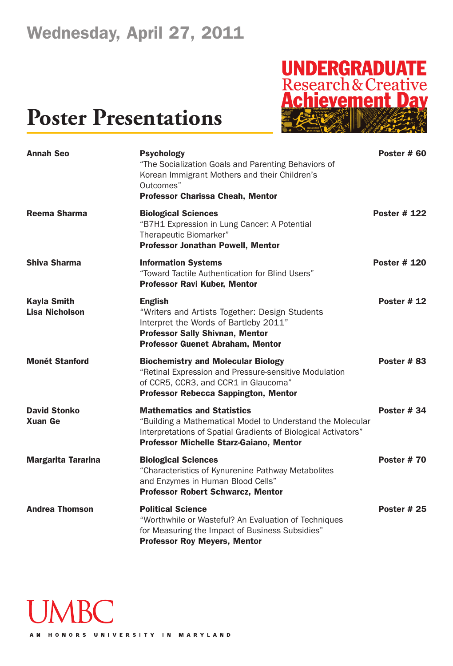# **UNDERGRADUATE**<br>Research & Creative<br>**Achievement Dav**

| <b>Annah Seo</b>                            | <b>Psychology</b><br>"The Socialization Goals and Parenting Behaviors of<br>Korean Immigrant Mothers and their Children's<br>Outcomes"<br><b>Professor Charissa Cheah, Mentor</b>                            | Poster #60          |
|---------------------------------------------|--------------------------------------------------------------------------------------------------------------------------------------------------------------------------------------------------------------|---------------------|
| <b>Reema Sharma</b>                         | <b>Biological Sciences</b><br>"B7H1 Expression in Lung Cancer: A Potential<br>Therapeutic Biomarker"<br><b>Professor Jonathan Powell, Mentor</b>                                                             | <b>Poster # 122</b> |
| <b>Shiva Sharma</b>                         | <b>Information Systems</b><br>"Toward Tactile Authentication for Blind Users"<br><b>Professor Ravi Kuber, Mentor</b>                                                                                         | <b>Poster # 120</b> |
| <b>Kayla Smith</b><br><b>Lisa Nicholson</b> | <b>English</b><br>"Writers and Artists Together: Design Students<br>Interpret the Words of Bartleby 2011"<br><b>Professor Sally Shivnan, Mentor</b><br><b>Professor Guenet Abraham, Mentor</b>               | <b>Poster # 12</b>  |
| <b>Monét Stanford</b>                       | <b>Biochemistry and Molecular Biology</b><br>"Retinal Expression and Pressure-sensitive Modulation<br>of CCR5, CCR3, and CCR1 in Glaucoma"<br><b>Professor Rebecca Sappington, Mentor</b>                    | <b>Poster #83</b>   |
| <b>David Stonko</b><br><b>Xuan Ge</b>       | <b>Mathematics and Statistics</b><br>"Building a Mathematical Model to Understand the Molecular<br>Interpretations of Spatial Gradients of Biological Activators"<br>Professor Michelle Starz-Gaiano, Mentor | <b>Poster #34</b>   |
| <b>Margarita Tararina</b>                   | <b>Biological Sciences</b><br>"Characteristics of Kynurenine Pathway Metabolites<br>and Enzymes in Human Blood Cells"<br><b>Professor Robert Schwarcz, Mentor</b>                                            | <b>Poster #70</b>   |
| <b>Andrea Thomson</b>                       | <b>Political Science</b><br>"Worthwhile or Wasteful? An Evaluation of Techniques<br>for Measuring the Impact of Business Subsidies"<br><b>Professor Roy Meyers, Mentor</b>                                   | <b>Poster # 25</b>  |

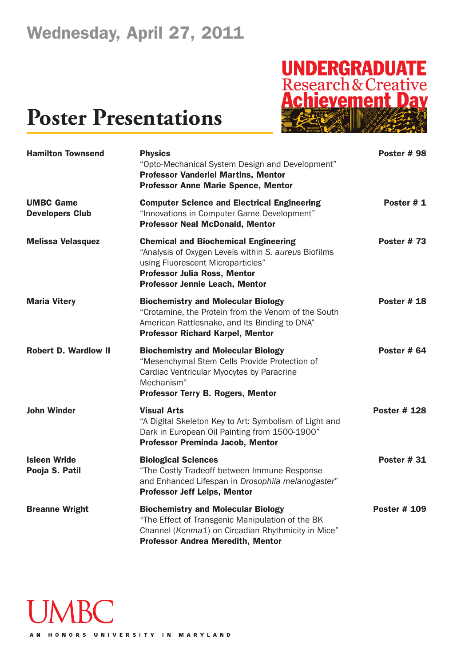# **UNDERGRADUATE**<br>Research & Creative<br>**Achievement Dav**

| <b>Hamilton Townsend</b>                   | <b>Physics</b><br>"Opto-Mechanical System Design and Development"<br><b>Professor Vanderlei Martins, Mentor</b><br><b>Professor Anne Marie Spence, Mentor</b>                                                            | Poster #98          |
|--------------------------------------------|--------------------------------------------------------------------------------------------------------------------------------------------------------------------------------------------------------------------------|---------------------|
| <b>UMBC Game</b><br><b>Developers Club</b> | <b>Computer Science and Electrical Engineering</b><br>"Innovations in Computer Game Development"<br><b>Professor Neal McDonald, Mentor</b>                                                                               | Poster #1           |
| <b>Melissa Velasquez</b>                   | <b>Chemical and Biochemical Engineering</b><br>"Analysis of Oxygen Levels within S. aureus Biofilms<br>using Fluorescent Microparticles"<br><b>Professor Julia Ross, Mentor</b><br><b>Professor Jennie Leach, Mentor</b> | Poster $# 73$       |
| <b>Maria Vitery</b>                        | <b>Biochemistry and Molecular Biology</b><br>"Crotamine, the Protein from the Venom of the South<br>American Rattlesnake, and Its Binding to DNA"<br><b>Professor Richard Karpel, Mentor</b>                             | <b>Poster #18</b>   |
| <b>Robert D. Wardlow II</b>                | <b>Biochemistry and Molecular Biology</b><br>"Mesenchymal Stem Cells Provide Protection of<br>Cardiac Ventricular Myocytes by Paracrine<br>Mechanism"<br><b>Professor Terry B. Rogers, Mentor</b>                        | Poster $#64$        |
| <b>John Winder</b>                         | <b>Visual Arts</b><br>"A Digital Skeleton Key to Art: Symbolism of Light and<br>Dark in European Oil Painting from 1500-1900"<br><b>Professor Preminda Jacob, Mentor</b>                                                 | <b>Poster # 128</b> |
| <b>Isleen Wride</b><br>Pooja S. Patil      | <b>Biological Sciences</b><br>"The Costly Tradeoff between Immune Response<br>and Enhanced Lifespan in Drosophila melanogaster"<br><b>Professor Jeff Leips, Mentor</b>                                                   | <b>Poster #31</b>   |
| <b>Breanne Wright</b>                      | <b>Biochemistry and Molecular Biology</b><br>"The Effect of Transgenic Manipulation of the BK<br>Channel (Kcnma1) on Circadian Rhythmicity in Mice"<br><b>Professor Andrea Meredith, Mentor</b>                          | <b>Poster # 109</b> |

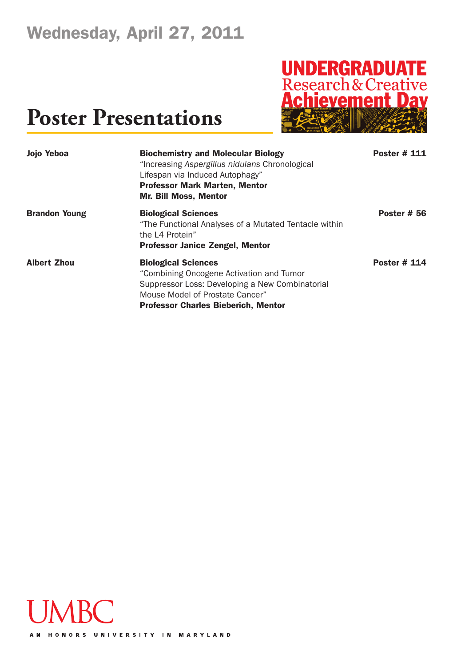# **UNDERGRADUATE**<br>Research & Creative<br>**Achievement Dav**

| Jojo Yeboa           | <b>Biochemistry and Molecular Biology</b><br>"Increasing Aspergillus nidulans Chronological<br>Lifespan via Induced Autophagy"<br><b>Professor Mark Marten, Mentor</b><br><b>Mr. Bill Moss, Mentor</b>     | <b>Poster # 111</b> |
|----------------------|------------------------------------------------------------------------------------------------------------------------------------------------------------------------------------------------------------|---------------------|
| <b>Brandon Young</b> | <b>Biological Sciences</b><br>"The Functional Analyses of a Mutated Tentacle within<br>the L4 Protein"<br><b>Professor Janice Zengel, Mentor</b>                                                           | <b>Poster # 56</b>  |
| <b>Albert Zhou</b>   | <b>Biological Sciences</b><br>"Combining Oncogene Activation and Tumor<br>Suppressor Loss: Developing a New Combinatorial<br>Mouse Model of Prostate Cancer"<br><b>Professor Charles Bieberich, Mentor</b> | <b>Poster # 114</b> |

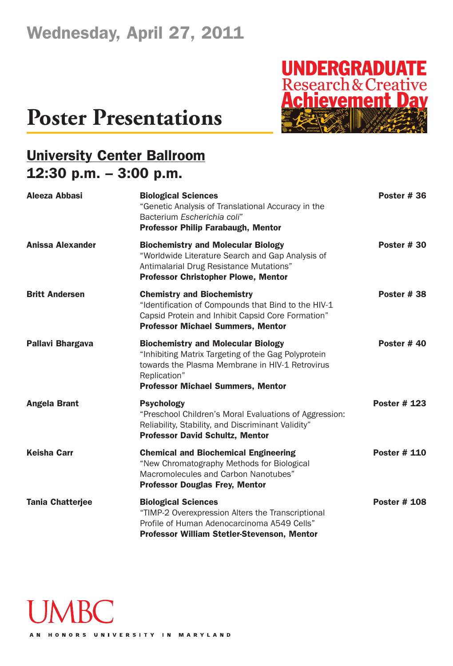# **UNDERGRADUATE**<br>Research & Creative<br>**Achievement Dav**

### **Poster Presentations**

### **University Center Ballroom 12:30 p.m. – 3:00 p.m.**

| Aleeza Abbasi           | <b>Biological Sciences</b><br>"Genetic Analysis of Translational Accuracy in the<br>Bacterium Escherichia coli"<br><b>Professor Philip Farabaugh, Mentor</b>                                                    | <b>Poster #36</b>   |
|-------------------------|-----------------------------------------------------------------------------------------------------------------------------------------------------------------------------------------------------------------|---------------------|
| <b>Anissa Alexander</b> | <b>Biochemistry and Molecular Biology</b><br>"Worldwide Literature Search and Gap Analysis of<br>Antimalarial Drug Resistance Mutations"<br><b>Professor Christopher Plowe, Mentor</b>                          | <b>Poster #30</b>   |
| <b>Britt Andersen</b>   | <b>Chemistry and Biochemistry</b><br>"Identification of Compounds that Bind to the HIV-1<br>Capsid Protein and Inhibit Capsid Core Formation"<br><b>Professor Michael Summers, Mentor</b>                       | Poster #38          |
| <b>Pallavi Bhargava</b> | <b>Biochemistry and Molecular Biology</b><br>"Inhibiting Matrix Targeting of the Gag Polyprotein<br>towards the Plasma Membrane in HIV-1 Retrovirus<br>Replication"<br><b>Professor Michael Summers, Mentor</b> | Poster $#40$        |
| <b>Angela Brant</b>     | <b>Psychology</b><br>"Preschool Children's Moral Evaluations of Aggression:<br>Reliability, Stability, and Discriminant Validity"<br><b>Professor David Schultz, Mentor</b>                                     | <b>Poster # 123</b> |
| <b>Keisha Carr</b>      | <b>Chemical and Biochemical Engineering</b><br>"New Chromatography Methods for Biological<br>Macromolecules and Carbon Nanotubes"<br><b>Professor Douglas Frey, Mentor</b>                                      | <b>Poster # 110</b> |
| <b>Tania Chatterjee</b> | <b>Biological Sciences</b><br>"TIMP-2 Overexpression Alters the Transcriptional<br>Profile of Human Adenocarcinoma A549 Cells"<br><b>Professor William Stetler-Stevenson, Mentor</b>                            | <b>Poster # 108</b> |

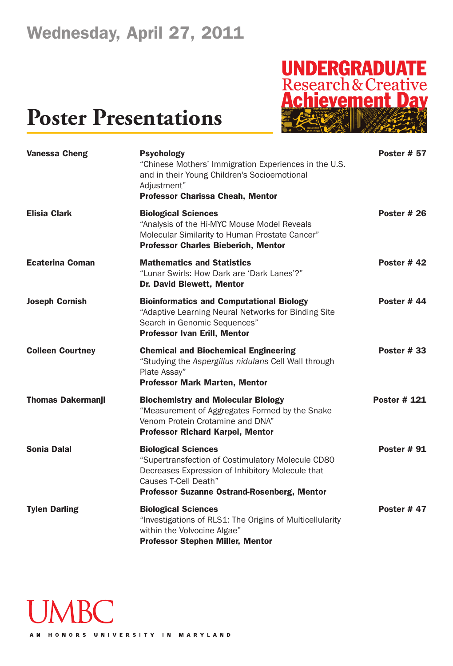# **UNDERGRADUATE**<br>Research & Creative<br>**Achievement Dav**

| <b>Vanessa Cheng</b>     | <b>Psychology</b><br>"Chinese Mothers' Immigration Experiences in the U.S.<br>and in their Young Children's Socioemotional<br>Adjustment"<br><b>Professor Charissa Cheah, Mentor</b>                              | <b>Poster # 57</b>  |
|--------------------------|-------------------------------------------------------------------------------------------------------------------------------------------------------------------------------------------------------------------|---------------------|
| <b>Elisia Clark</b>      | <b>Biological Sciences</b><br>"Analysis of the Hi-MYC Mouse Model Reveals<br>Molecular Similarity to Human Prostate Cancer"<br><b>Professor Charles Bieberich, Mentor</b>                                         | <b>Poster #26</b>   |
| <b>Ecaterina Coman</b>   | <b>Mathematics and Statistics</b><br>"Lunar Swirls: How Dark are 'Dark Lanes'?"<br><b>Dr. David Blewett, Mentor</b>                                                                                               | Poster #42          |
| <b>Joseph Cornish</b>    | <b>Bioinformatics and Computational Biology</b><br>"Adaptive Learning Neural Networks for Binding Site<br>Search in Genomic Sequences"<br><b>Professor Ivan Erill, Mentor</b>                                     | Poster #44          |
| <b>Colleen Courtney</b>  | <b>Chemical and Biochemical Engineering</b><br>"Studying the Aspergillus nidulans Cell Wall through<br>Plate Assay"<br><b>Professor Mark Marten, Mentor</b>                                                       | <b>Poster #33</b>   |
| <b>Thomas Dakermanji</b> | <b>Biochemistry and Molecular Biology</b><br>"Measurement of Aggregates Formed by the Snake<br>Venom Protein Crotamine and DNA"<br><b>Professor Richard Karpel, Mentor</b>                                        | <b>Poster # 121</b> |
| <b>Sonia Dalal</b>       | <b>Biological Sciences</b><br>"Supertransfection of Costimulatory Molecule CD80<br>Decreases Expression of Inhibitory Molecule that<br>Causes T-Cell Death"<br><b>Professor Suzanne Ostrand-Rosenberg, Mentor</b> | <b>Poster #91</b>   |
| <b>Tylen Darling</b>     | <b>Biological Sciences</b><br>"Investigations of RLS1: The Origins of Multicellularity<br>within the Volvocine Algae"<br><b>Professor Stephen Miller, Mentor</b>                                                  | <b>Poster #47</b>   |

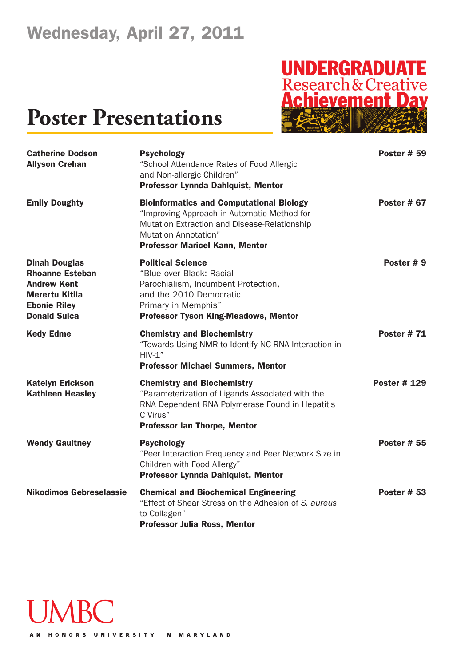# **UNDERGRADUATE**<br>Research & Creative<br>**Achievement Dav**

### **Poster Presentations**

| <b>Catherine Dodson</b><br><b>Allyson Crehan</b>                                                                                            | <b>Psychology</b><br>"School Attendance Rates of Food Allergic<br>and Non-allergic Children"<br><b>Professor Lynnda Dahlquist, Mentor</b>                                                                              | <b>Poster # 59</b>  |
|---------------------------------------------------------------------------------------------------------------------------------------------|------------------------------------------------------------------------------------------------------------------------------------------------------------------------------------------------------------------------|---------------------|
| <b>Emily Doughty</b>                                                                                                                        | <b>Bioinformatics and Computational Biology</b><br>"Improving Approach in Automatic Method for<br>Mutation Extraction and Disease-Relationship<br><b>Mutation Annotation"</b><br><b>Professor Maricel Kann, Mentor</b> | Poster # 67         |
| <b>Dinah Douglas</b><br><b>Rhoanne Esteban</b><br><b>Andrew Kent</b><br><b>Merertu Kitila</b><br><b>Ebonie Riley</b><br><b>Donald Suica</b> | <b>Political Science</b><br>"Blue over Black: Racial<br>Parochialism, Incumbent Protection,<br>and the 2010 Democratic<br>Primary in Memphis"<br><b>Professor Tyson King-Meadows, Mentor</b>                           | Poster #9           |
| <b>Kedy Edme</b>                                                                                                                            | <b>Chemistry and Biochemistry</b><br>"Towards Using NMR to Identify NC-RNA Interaction in<br>$HIV-1"$<br><b>Professor Michael Summers, Mentor</b>                                                                      | <b>Poster #71</b>   |
| <b>Katelyn Erickson</b><br><b>Kathleen Heasley</b>                                                                                          | <b>Chemistry and Biochemistry</b><br>"Parameterization of Ligands Associated with the<br>RNA Dependent RNA Polymerase Found in Hepatitis<br>C Virus"<br><b>Professor Ian Thorpe, Mentor</b>                            | <b>Poster # 129</b> |
| <b>Wendy Gaultney</b>                                                                                                                       | <b>Psychology</b><br>"Peer Interaction Frequency and Peer Network Size in<br>Children with Food Allergy"<br>Professor Lynnda Dahlquist, Mentor                                                                         | <b>Poster # 55</b>  |
| <b>Nikodimos Gebreselassie</b>                                                                                                              | <b>Chemical and Biochemical Engineering</b><br>"Effect of Shear Stress on the Adhesion of S. aureus<br>to Collagen"<br><b>Professor Julia Ross, Mentor</b>                                                             | <b>Poster # 53</b>  |



AN HONORS UNIVERSITY IN MARYLAND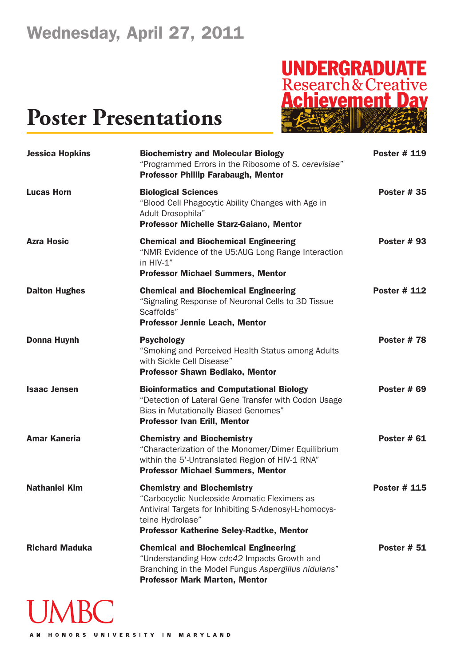## **Poster Presentations**



| <b>Jessica Hopkins</b> | <b>Biochemistry and Molecular Biology</b><br>"Programmed Errors in the Ribosome of S. cerevisiae"<br><b>Professor Phillip Farabaugh, Mentor</b>                                                              | <b>Poster # 119</b> |
|------------------------|--------------------------------------------------------------------------------------------------------------------------------------------------------------------------------------------------------------|---------------------|
| <b>Lucas Horn</b>      | <b>Biological Sciences</b><br>"Blood Cell Phagocytic Ability Changes with Age in<br>Adult Drosophila"<br>Professor Michelle Starz-Gaiano, Mentor                                                             | <b>Poster #35</b>   |
| <b>Azra Hosic</b>      | <b>Chemical and Biochemical Engineering</b><br>"NMR Evidence of the U5:AUG Long Range Interaction<br>in HIV-1"<br><b>Professor Michael Summers, Mentor</b>                                                   | <b>Poster #93</b>   |
| <b>Dalton Hughes</b>   | <b>Chemical and Biochemical Engineering</b><br>"Signaling Response of Neuronal Cells to 3D Tissue<br>Scaffolds"<br><b>Professor Jennie Leach, Mentor</b>                                                     | <b>Poster # 112</b> |
| <b>Donna Huynh</b>     | <b>Psychology</b><br>"Smoking and Perceived Health Status among Adults<br>with Sickle Cell Disease"<br><b>Professor Shawn Bediako, Mentor</b>                                                                | Poster #78          |
| <b>Isaac Jensen</b>    | <b>Bioinformatics and Computational Biology</b><br>"Detection of Lateral Gene Transfer with Codon Usage<br><b>Bias in Mutationally Biased Genomes"</b><br><b>Professor Ivan Erill, Mentor</b>                | <b>Poster # 69</b>  |
| <b>Amar Kaneria</b>    | <b>Chemistry and Biochemistry</b><br>"Characterization of the Monomer/Dimer Equilibrium<br>within the 5'-Untranslated Region of HIV-1 RNA"<br><b>Professor Michael Summers, Mentor</b>                       | <b>Poster # 61</b>  |
| <b>Nathaniel Kim</b>   | <b>Chemistry and Biochemistry</b><br>"Carbocyclic Nucleoside Aromatic Fleximers as<br>Antiviral Targets for Inhibiting S-Adenosyl-L-homocys-<br>teine Hydrolase"<br>Professor Katherine Seley-Radtke, Mentor | <b>Poster # 115</b> |
| <b>Richard Maduka</b>  | <b>Chemical and Biochemical Engineering</b><br>"Understanding How cdc42 Impacts Growth and<br>Branching in the Model Fungus Aspergillus nidulans"<br><b>Professor Mark Marten, Mentor</b>                    | <b>Poster # 51</b>  |

# **JMBC**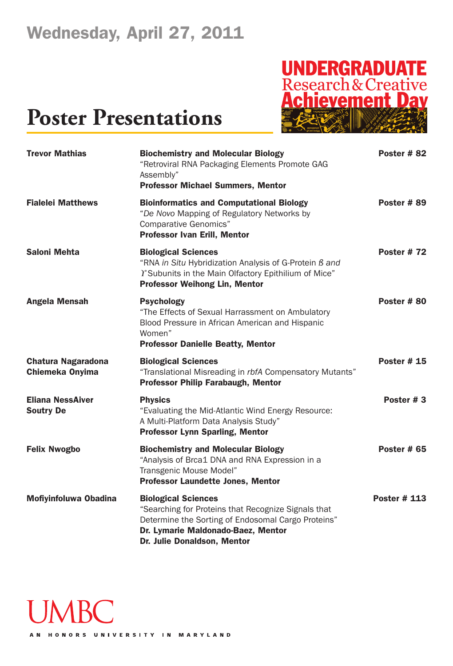# **UNDERGRADUATE**<br>Research & Creative<br>**Achievement Dav**

| <b>Trevor Mathias</b>                               | <b>Biochemistry and Molecular Biology</b><br>"Retroviral RNA Packaging Elements Promote GAG<br>Assembly"<br><b>Professor Michael Summers, Mentor</b>                                                         | Poster #82          |
|-----------------------------------------------------|--------------------------------------------------------------------------------------------------------------------------------------------------------------------------------------------------------------|---------------------|
| <b>Fialelei Matthews</b>                            | <b>Bioinformatics and Computational Biology</b><br>"De Novo Mapping of Regulatory Networks by<br><b>Comparative Genomics"</b><br><b>Professor Ivan Erill, Mentor</b>                                         | Poster #89          |
| <b>Saloni Mehta</b>                                 | <b>Biological Sciences</b><br>"RNA in Situ Hybridization Analysis of G-Protein B and<br>T Subunits in the Main Olfactory Epithilium of Mice"<br><b>Professor Weihong Lin, Mentor</b>                         | <b>Poster #72</b>   |
| <b>Angela Mensah</b>                                | <b>Psychology</b><br>"The Effects of Sexual Harrassment on Ambulatory<br>Blood Pressure in African American and Hispanic<br>Women"<br><b>Professor Danielle Beatty, Mentor</b>                               | Poster #80          |
| <b>Chatura Nagaradona</b><br><b>Chiemeka Onyima</b> | <b>Biological Sciences</b><br>"Translational Misreading in rbfA Compensatory Mutants"<br><b>Professor Philip Farabaugh, Mentor</b>                                                                           | Poster $# 15$       |
| <b>Eliana NessAiver</b><br><b>Soutry De</b>         | <b>Physics</b><br>"Evaluating the Mid-Atlantic Wind Energy Resource:<br>A Multi-Platform Data Analysis Study"<br><b>Professor Lynn Sparling, Mentor</b>                                                      | Poster #3           |
| <b>Felix Nwogbo</b>                                 | <b>Biochemistry and Molecular Biology</b><br>"Analysis of Brca1 DNA and RNA Expression in a<br>Transgenic Mouse Model"<br><b>Professor Laundette Jones, Mentor</b>                                           | <b>Poster # 65</b>  |
| <b>Mofiyinfoluwa Obadina</b>                        | <b>Biological Sciences</b><br>"Searching for Proteins that Recognize Signals that<br>Determine the Sorting of Endosomal Cargo Proteins"<br>Dr. Lymarie Maldonado-Baez, Mentor<br>Dr. Julie Donaldson, Mentor | <b>Poster # 113</b> |

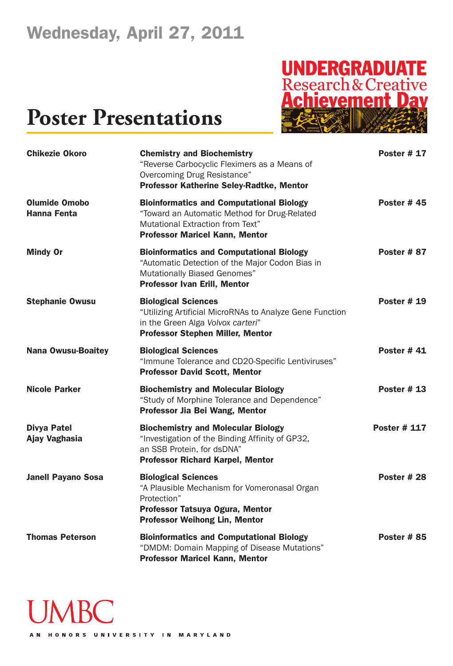

| <b>Chikezie Okoro</b>                      | <b>Chemistry and Biochemistry</b><br>"Reverse Carbocyclic Fleximers as a Means of<br>Overcoming Drug Resistance"<br>Professor Katherine Seley-Radtke, Mentor                     | <b>Poster # 17</b>  |
|--------------------------------------------|----------------------------------------------------------------------------------------------------------------------------------------------------------------------------------|---------------------|
| <b>Olumide Omobo</b><br><b>Hanna Fenta</b> | <b>Bioinformatics and Computational Biology</b><br>"Toward an Automatic Method for Drug-Related<br>Mutational Extraction from Text"<br><b>Professor Maricel Kann, Mentor</b>     | <b>Poster #45</b>   |
| <b>Mindy Or</b>                            | <b>Bioinformatics and Computational Biology</b><br>"Automatic Detection of the Major Codon Bias in<br><b>Mutationally Biased Genomes"</b><br><b>Professor Ivan Erill, Mentor</b> | Poster #87          |
| <b>Stephanie Owusu</b>                     | <b>Biological Sciences</b><br>"Utilizing Artificial MicroRNAs to Analyze Gene Function<br>in the Green Alga Volvox carteri"<br><b>Professor Stephen Miller, Mentor</b>           | <b>Poster #19</b>   |
| <b>Nana Owusu-Boaitey</b>                  | <b>Biological Sciences</b><br>"Immune Tolerance and CD20-Specific Lentiviruses"<br><b>Professor David Scott, Mentor</b>                                                          | <b>Poster #41</b>   |
| <b>Nicole Parker</b>                       | <b>Biochemistry and Molecular Biology</b><br>"Study of Morphine Tolerance and Dependence"<br>Professor Jia Bei Wang, Mentor                                                      | <b>Poster #13</b>   |
| <b>Divya Patel</b><br>Ajay Vaghasia        | <b>Biochemistry and Molecular Biology</b><br>"Investigation of the Binding Affinity of GP32,<br>an SSB Protein, for dsDNA"<br><b>Professor Richard Karpel, Mentor</b>            | <b>Poster # 117</b> |
| <b>Janell Payano Sosa</b>                  | <b>Biological Sciences</b><br>"A Plausible Mechanism for Vomeronasal Organ<br>Protection"<br>Professor Tatsuya Ogura, Mentor<br><b>Professor Weihong Lin, Mentor</b>             | <b>Poster #28</b>   |
| <b>Thomas Peterson</b>                     | <b>Bioinformatics and Computational Biology</b><br>"DMDM: Domain Mapping of Disease Mutations"<br><b>Professor Maricel Kann, Mentor</b>                                          | <b>Poster #85</b>   |

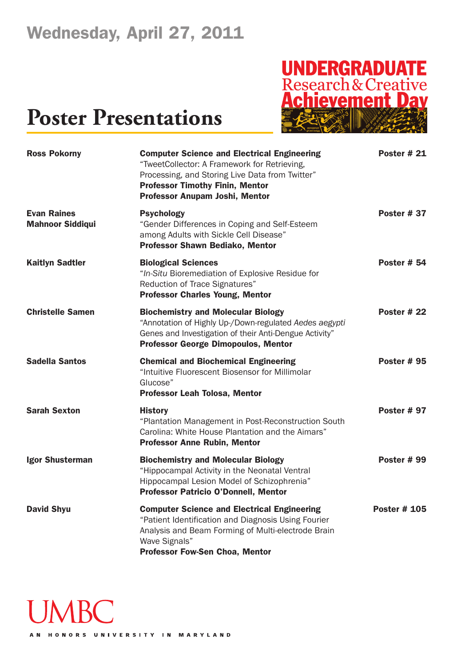# **UNDERGRADUATE**<br>Research & Creative<br>**Achievement Dav**

| <b>Ross Pokorny</b>                           | <b>Computer Science and Electrical Engineering</b><br>"TweetCollector: A Framework for Retrieving,<br>Processing, and Storing Live Data from Twitter"<br><b>Professor Timothy Finin, Mentor</b><br><b>Professor Anupam Joshi, Mentor</b> | Poster #21          |
|-----------------------------------------------|------------------------------------------------------------------------------------------------------------------------------------------------------------------------------------------------------------------------------------------|---------------------|
| <b>Evan Raines</b><br><b>Mahnoor Siddiqui</b> | <b>Psychology</b><br>"Gender Differences in Coping and Self-Esteem<br>among Adults with Sickle Cell Disease"<br>Professor Shawn Bediako, Mentor                                                                                          | <b>Poster #37</b>   |
| <b>Kaitlyn Sadtler</b>                        | <b>Biological Sciences</b><br>"In-Situ Bioremediation of Explosive Residue for<br>Reduction of Trace Signatures"<br><b>Professor Charles Young, Mentor</b>                                                                               | <b>Poster # 54</b>  |
| <b>Christelle Samen</b>                       | <b>Biochemistry and Molecular Biology</b><br>"Annotation of Highly Up-/Down-regulated Aedes aegypti<br>Genes and Investigation of their Anti-Dengue Activity"<br><b>Professor George Dimopoulos, Mentor</b>                              | Poster #22          |
| <b>Sadella Santos</b>                         | <b>Chemical and Biochemical Engineering</b><br>"Intuitive Fluorescent Biosensor for Millimolar<br>Glucose"<br><b>Professor Leah Tolosa, Mentor</b>                                                                                       | <b>Poster #95</b>   |
| <b>Sarah Sexton</b>                           | <b>History</b><br>"Plantation Management in Post-Reconstruction South<br>Carolina: White House Plantation and the Aimars"<br><b>Professor Anne Rubin, Mentor</b>                                                                         | <b>Poster #97</b>   |
| <b>Igor Shusterman</b>                        | <b>Biochemistry and Molecular Biology</b><br>"Hippocampal Activity in the Neonatal Ventral<br>Hippocampal Lesion Model of Schizophrenia<br><b>Professor Patricio O'Donnell, Mentor</b>                                                   | <b>Poster #99</b>   |
| <b>David Shyu</b>                             | <b>Computer Science and Electrical Engineering</b><br>"Patient Identification and Diagnosis Using Fourier<br>Analysis and Beam Forming of Multi-electrode Brain<br>Wave Signals"<br><b>Professor Fow-Sen Choa, Mentor</b>                | <b>Poster # 105</b> |

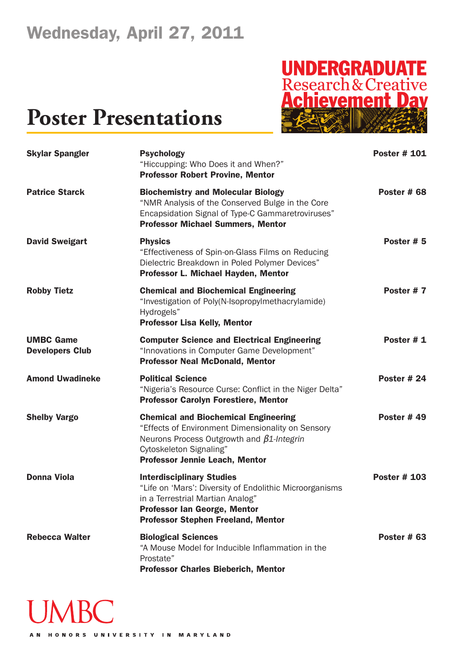# **UNDERGRADUATE**<br>Research & Creative<br>**Achievement Dav**

| <b>Skylar Spangler</b>                     | <b>Psychology</b><br>"Hiccupping: Who Does it and When?"<br><b>Professor Robert Provine, Mentor</b>                                                                                                                      | <b>Poster # 101</b> |
|--------------------------------------------|--------------------------------------------------------------------------------------------------------------------------------------------------------------------------------------------------------------------------|---------------------|
| <b>Patrice Starck</b>                      | <b>Biochemistry and Molecular Biology</b><br>"NMR Analysis of the Conserved Bulge in the Core<br>Encapsidation Signal of Type-C Gammaretroviruses"<br><b>Professor Michael Summers, Mentor</b>                           | Poster #68          |
| <b>David Sweigart</b>                      | <b>Physics</b><br>"Effectiveness of Spin-on-Glass Films on Reducing<br>Dielectric Breakdown in Poled Polymer Devices"<br>Professor L. Michael Hayden, Mentor                                                             | Poster # 5          |
| <b>Robby Tietz</b>                         | <b>Chemical and Biochemical Engineering</b><br>"Investigation of Poly(N-Isopropylmethacrylamide)<br>Hydrogels"<br><b>Professor Lisa Kelly, Mentor</b>                                                                    | Poster #7           |
| <b>UMBC Game</b><br><b>Developers Club</b> | <b>Computer Science and Electrical Engineering</b><br>"Innovations in Computer Game Development"<br><b>Professor Neal McDonald, Mentor</b>                                                                               | Poster #1           |
| <b>Amond Uwadineke</b>                     | <b>Political Science</b><br>"Nigeria's Resource Curse: Conflict in the Niger Delta"<br><b>Professor Carolyn Forestiere, Mentor</b>                                                                                       | Poster $#24$        |
| <b>Shelby Vargo</b>                        | <b>Chemical and Biochemical Engineering</b><br>"Effects of Environment Dimensionality on Sensory<br>Neurons Process Outgrowth and $\beta$ 1-Integrin<br>Cytoskeleton Signaling"<br><b>Professor Jennie Leach, Mentor</b> | Poster $#49$        |
| <b>Donna Viola</b>                         | <b>Interdisciplinary Studies</b><br>"Life on 'Mars': Diversity of Endolithic Microorganisms<br>in a Terrestrial Martian Analog"<br><b>Professor Ian George, Mentor</b><br><b>Professor Stephen Freeland, Mentor</b>      | <b>Poster # 103</b> |
| <b>Rebecca Walter</b>                      | <b>Biological Sciences</b><br>"A Mouse Model for Inducible Inflammation in the<br>Prostate"<br><b>Professor Charles Bieberich, Mentor</b>                                                                                | Poster $#$ 63       |

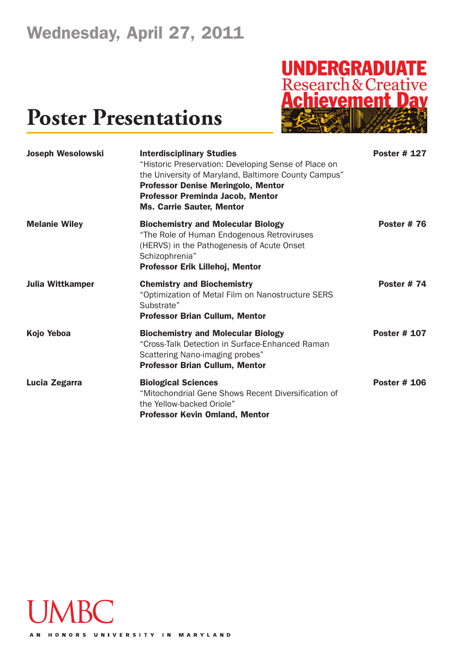# **UNDERGRADUATE**<br>Research & Creative<br>**Achievement Dav**

| <b>Joseph Wesolowski</b> | <b>Interdisciplinary Studies</b><br>"Historic Preservation: Developing Sense of Place on<br>the University of Maryland, Baltimore County Campus"<br><b>Professor Denise Meringolo, Mentor</b><br><b>Professor Preminda Jacob, Mentor</b><br><b>Ms. Carrie Sauter, Mentor</b> | <b>Poster # 127</b> |
|--------------------------|------------------------------------------------------------------------------------------------------------------------------------------------------------------------------------------------------------------------------------------------------------------------------|---------------------|
| <b>Melanie Wiley</b>     | <b>Biochemistry and Molecular Biology</b><br>"The Role of Human Endogenous Retroviruses<br>(HERVS) in the Pathogenesis of Acute Onset<br>Schizophrenia"<br>Professor Erik Lillehoj, Mentor                                                                                   | <b>Poster #76</b>   |
| <b>Julia Wittkamper</b>  | <b>Chemistry and Biochemistry</b><br>"Optimization of Metal Film on Nanostructure SERS<br>Substrate"<br><b>Professor Brian Cullum, Mentor</b>                                                                                                                                | <b>Poster #74</b>   |
| Kojo Yeboa               | <b>Biochemistry and Molecular Biology</b><br>"Cross-Talk Detection in Surface-Enhanced Raman<br>Scattering Nano-imaging probes"<br><b>Professor Brian Cullum, Mentor</b>                                                                                                     | <b>Poster # 107</b> |
| Lucia Zegarra            | <b>Biological Sciences</b><br>"Mitochondrial Gene Shows Recent Diversification of<br>the Yellow-backed Oriole"<br><b>Professor Kevin Omland, Mentor</b>                                                                                                                      | <b>Poster # 106</b> |